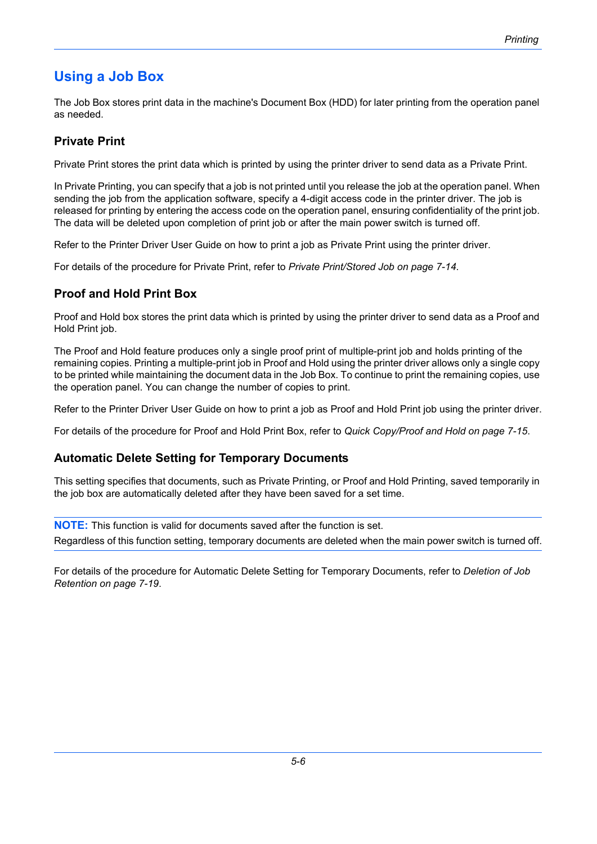# **Using a Job Box**

The Job Box stores print data in the machine's Document Box (HDD) for later printing from the operation panel as needed.

## **Private Print**

Private Print stores the print data which is printed by using the printer driver to send data as a Private Print.

In Private Printing, you can specify that a job is not printed until you release the job at the operation panel. When sending the job from the application software, specify a 4-digit access code in the printer driver. The job is released for printing by entering the access code on the operation panel, ensuring confidentiality of the print job. The data will be deleted upon completion of print job or after the main power switch is turned off.

Refer to the Printer Driver User Guide on how to print a job as Private Print using the printer driver.

For details of the procedure for Private Print, refer to *[Private Print/Stored Job on page 7-14](#page--1-0)*.

# **Proof and Hold Print Box**

Proof and Hold box stores the print data which is printed by using the printer driver to send data as a Proof and Hold Print job.

The Proof and Hold feature produces only a single proof print of multiple-print job and holds printing of the remaining copies. Printing a multiple-print job in Proof and Hold using the printer driver allows only a single copy to be printed while maintaining the document data in the Job Box. To continue to print the remaining copies, use the operation panel. You can change the number of copies to print.

Refer to the Printer Driver User Guide on how to print a job as Proof and Hold Print job using the printer driver.

For details of the procedure for Proof and Hold Print Box, refer to *[Quick Copy/Proof and Hold on page 7-15](#page--1-1)*.

### **Automatic Delete Setting for Temporary Documents**

This setting specifies that documents, such as Private Printing, or Proof and Hold Printing, saved temporarily in the job box are automatically deleted after they have been saved for a set time.

**NOTE:** This function is valid for documents saved after the function is set. Regardless of this function setting, temporary documents are deleted when the main power switch is turned off.

For details of the procedure for Automatic Delete Setting for Temporary Documents, refer to *[Deletion of Job](#page--1-2)  [Retention on page 7-19](#page--1-2)*.